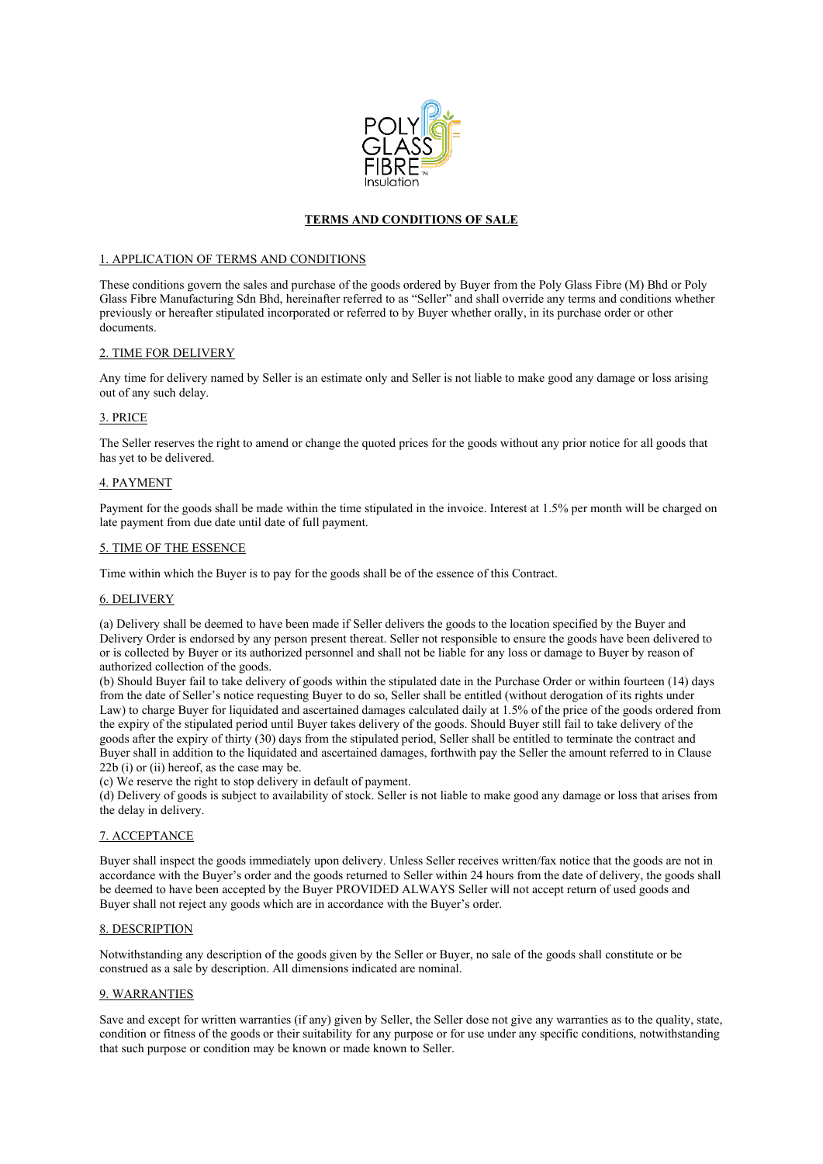

# **TERMS AND CONDITIONS OF SALE**

#### 1. APPLICATION OF TERMS AND CONDITIONS

These conditions govern the sales and purchase of the goods ordered by Buyer from the Poly Glass Fibre (M) Bhd or Poly Glass Fibre Manufacturing Sdn Bhd, hereinafter referred to as "Seller" and shall override any terms and conditions whether previously or hereafter stipulated incorporated or referred to by Buyer whether orally, in its purchase order or other documents.

#### 2. TIME FOR DELIVERY

Any time for delivery named by Seller is an estimate only and Seller is not liable to make good any damage or loss arising out of any such delay.

#### 3. PRICE

The Seller reserves the right to amend or change the quoted prices for the goods without any prior notice for all goods that has yet to be delivered.

#### 4. PAYMENT

Payment for the goods shall be made within the time stipulated in the invoice. Interest at 1.5% per month will be charged on late payment from due date until date of full payment.

# 5. TIME OF THE ESSENCE

Time within which the Buyer is to pay for the goods shall be of the essence of this Contract.

### 6. DELIVERY

(a) Delivery shall be deemed to have been made if Seller delivers the goods to the location specified by the Buyer and Delivery Order is endorsed by any person present thereat. Seller not responsible to ensure the goods have been delivered to or is collected by Buyer or its authorized personnel and shall not be liable for any loss or damage to Buyer by reason of authorized collection of the goods.

(b) Should Buyer fail to take delivery of goods within the stipulated date in the Purchase Order or within fourteen (14) days from the date of Seller's notice requesting Buyer to do so, Seller shall be entitled (without derogation of its rights under Law) to charge Buyer for liquidated and ascertained damages calculated daily at 1.5% of the price of the goods ordered from the expiry of the stipulated period until Buyer takes delivery of the goods. Should Buyer still fail to take delivery of the goods after the expiry of thirty (30) days from the stipulated period, Seller shall be entitled to terminate the contract and Buyer shall in addition to the liquidated and ascertained damages, forthwith pay the Seller the amount referred to in Clause 22b (i) or (ii) hereof, as the case may be.

(c) We reserve the right to stop delivery in default of payment.

(d) Delivery of goods is subject to availability of stock. Seller is not liable to make good any damage or loss that arises from the delay in delivery.

## 7. ACCEPTANCE

Buyer shall inspect the goods immediately upon delivery. Unless Seller receives written/fax notice that the goods are not in accordance with the Buyer's order and the goods returned to Seller within 24 hours from the date of delivery, the goods shall be deemed to have been accepted by the Buyer PROVIDED ALWAYS Seller will not accept return of used goods and Buyer shall not reject any goods which are in accordance with the Buyer's order.

## 8. DESCRIPTION

Notwithstanding any description of the goods given by the Seller or Buyer, no sale of the goods shall constitute or be construed as a sale by description. All dimensions indicated are nominal.

## 9. WARRANTIES

Save and except for written warranties (if any) given by Seller, the Seller dose not give any warranties as to the quality, state, condition or fitness of the goods or their suitability for any purpose or for use under any specific conditions, notwithstanding that such purpose or condition may be known or made known to Seller.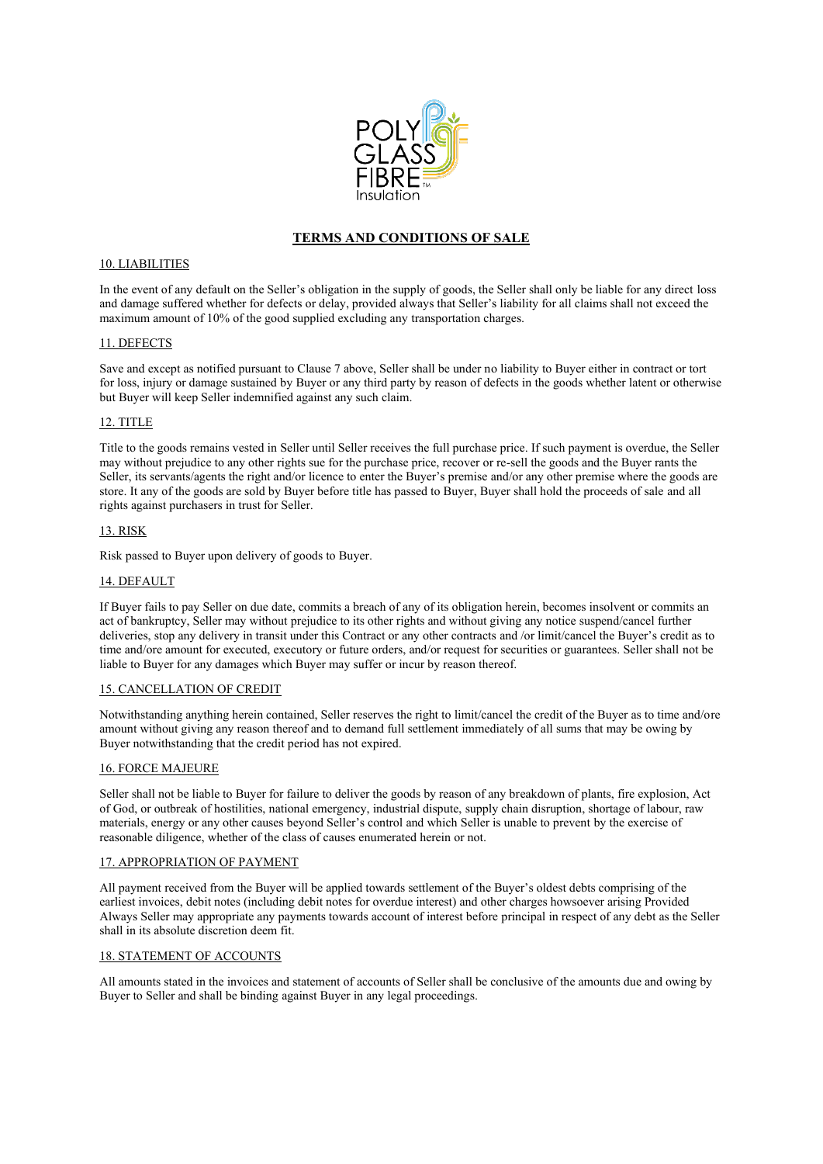

# **TERMS AND CONDITIONS OF SALE**

#### 10. LIABILITIES

In the event of any default on the Seller's obligation in the supply of goods, the Seller shall only be liable for any direct loss and damage suffered whether for defects or delay, provided always that Seller's liability for all claims shall not exceed the maximum amount of 10% of the good supplied excluding any transportation charges.

### 11. DEFECTS

Save and except as notified pursuant to Clause 7 above, Seller shall be under no liability to Buyer either in contract or tort for loss, injury or damage sustained by Buyer or any third party by reason of defects in the goods whether latent or otherwise but Buyer will keep Seller indemnified against any such claim.

## 12. TITLE

Title to the goods remains vested in Seller until Seller receives the full purchase price. If such payment is overdue, the Seller may without prejudice to any other rights sue for the purchase price, recover or re-sell the goods and the Buyer rants the Seller, its servants/agents the right and/or licence to enter the Buyer's premise and/or any other premise where the goods are store. It any of the goods are sold by Buyer before title has passed to Buyer, Buyer shall hold the proceeds of sale and all rights against purchasers in trust for Seller.

#### 13. RISK

Risk passed to Buyer upon delivery of goods to Buyer.

#### 14. DEFAULT

If Buyer fails to pay Seller on due date, commits a breach of any of its obligation herein, becomes insolvent or commits an act of bankruptcy, Seller may without prejudice to its other rights and without giving any notice suspend/cancel further deliveries, stop any delivery in transit under this Contract or any other contracts and /or limit/cancel the Buyer's credit as to time and/ore amount for executed, executory or future orders, and/or request for securities or guarantees. Seller shall not be liable to Buyer for any damages which Buyer may suffer or incur by reason thereof.

#### 15. CANCELLATION OF CREDIT

Notwithstanding anything herein contained, Seller reserves the right to limit/cancel the credit of the Buyer as to time and/ore amount without giving any reason thereof and to demand full settlement immediately of all sums that may be owing by Buyer notwithstanding that the credit period has not expired.

## 16. FORCE MAJEURE

Seller shall not be liable to Buyer for failure to deliver the goods by reason of any breakdown of plants, fire explosion, Act of God, or outbreak of hostilities, national emergency, industrial dispute, supply chain disruption, shortage of labour, raw materials, energy or any other causes beyond Seller's control and which Seller is unable to prevent by the exercise of reasonable diligence, whether of the class of causes enumerated herein or not.

#### 17. APPROPRIATION OF PAYMENT

All payment received from the Buyer will be applied towards settlement of the Buyer's oldest debts comprising of the earliest invoices, debit notes (including debit notes for overdue interest) and other charges howsoever arising Provided Always Seller may appropriate any payments towards account of interest before principal in respect of any debt as the Seller shall in its absolute discretion deem fit.

### 18. STATEMENT OF ACCOUNTS

All amounts stated in the invoices and statement of accounts of Seller shall be conclusive of the amounts due and owing by Buyer to Seller and shall be binding against Buyer in any legal proceedings.